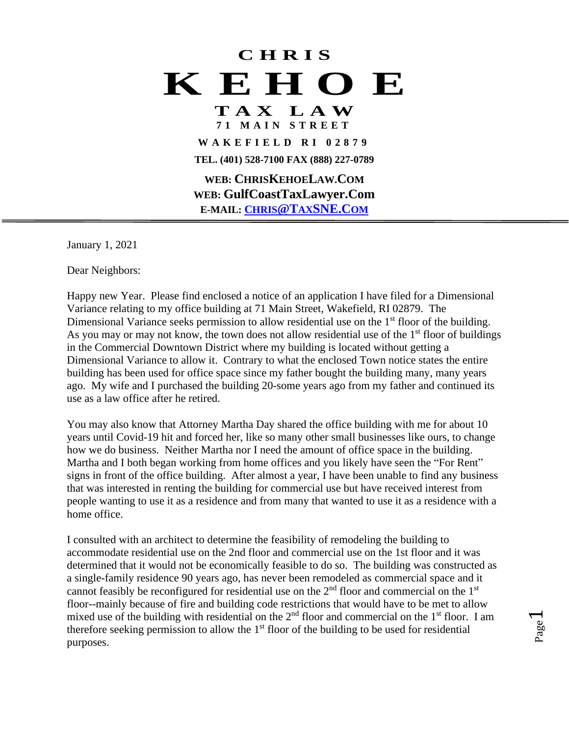## **C H R I S K E H O E**

## **T A X L A W 7 1 M A I N S T R E E T**

**W A K E F I E L D R I 0 2 8 7 9 TEL. (401) 528-7100 FAX (888) 227-0789**

**WEB: CHRISKEHOELAW.COM WEB: GulfCoastTaxLawyer.Com E-MAIL: CHRIS@TAX[SNE.C](mailto:CHRIS@TAXSNE.COM)[OM](mailto:CHRIS@TAXSNE.COM)**

January 1, 2021

Dear Neighbors:

Happy new Year. Please find enclosed a notice of an application I have filed for a Dimensional Variance relating to my office building at 71 Main Street, Wakefield, RI 02879. The Dimensional Variance seeks permission to allow residential use on the  $1<sup>st</sup>$  floor of the building. As you may or may not know, the town does not allow residential use of the  $1<sup>st</sup>$  floor of buildings in the Commercial Downtown District where my building is located without getting a Dimensional Variance to allow it. Contrary to what the enclosed Town notice states the entire building has been used for office space since my father bought the building many, many years ago. My wife and I purchased the building 20-some years ago from my father and continued its use as a law office after he retired.

You may also know that Attorney Martha Day shared the office building with me for about 10 years until Covid-19 hit and forced her, like so many other small businesses like ours, to change how we do business. Neither Martha nor I need the amount of office space in the building. Martha and I both began working from home offices and you likely have seen the "For Rent" signs in front of the office building. After almost a year, I have been unable to find any business that was interested in renting the building for commercial use but have received interest from people wanting to use it as a residence and from many that wanted to use it as a residence with a home office.

I consulted with an architect to determine the feasibility of remodeling the building to accommodate residential use on the 2nd floor and commercial use on the 1st floor and it was determined that it would not be economically feasible to do so. The building was constructed as a single-family residence 90 years ago, has never been remodeled as commercial space and it cannot feasibly be reconfigured for residential use on the  $2<sup>nd</sup>$  floor and commercial on the  $1<sup>st</sup>$ floor--mainly because of fire and building code restrictions that would have to be met to allow mixed use of the building with residential on the  $2<sup>nd</sup>$  floor and commercial on the  $1<sup>st</sup>$  floor. I am therefore seeking permission to allow the  $1<sup>st</sup>$  floor of the building to be used for residential purposes.